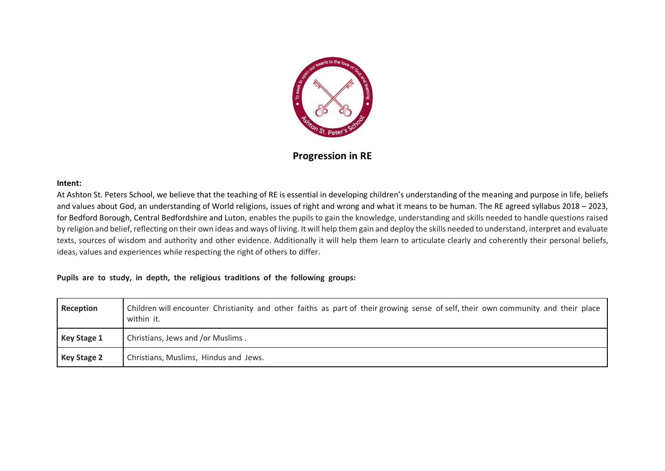

## **Progression in RE**

## **Intent:**

At Ashton St. Peters School, we believe that the teaching of RE is essential in developing children's understanding of the meaning and purpose in life, beliefs and values about God, an understanding of World religions, issues of right and wrong and what it means to be human. The RE agreed syllabus 2018 – 2023, for Bedford Borough, Central Bedfordshire and Luton, enables the pupils to gain the knowledge, understanding and skills needed to handle questions raised by religion and belief, reflecting on their own ideas and ways of living. It will help them gain and deploy the skills needed to understand, interpret and evaluate texts, sources of wisdom and authority and other evidence. Additionally it will help them learn to articulate clearly and coherently their personal beliefs, ideas, values and experiences while respecting the right of others to differ.

## **Pupils are to study, in depth, the religious traditions of the following groups:**

| Reception          | Children will encounter Christianity and other faiths as part of their growing sense of self, their own community and their place<br>within it. |
|--------------------|-------------------------------------------------------------------------------------------------------------------------------------------------|
| Key Stage 1        | Christians, Jews and /or Muslims.                                                                                                               |
| <b>Key Stage 2</b> | Christians, Muslims, Hindus and Jews.                                                                                                           |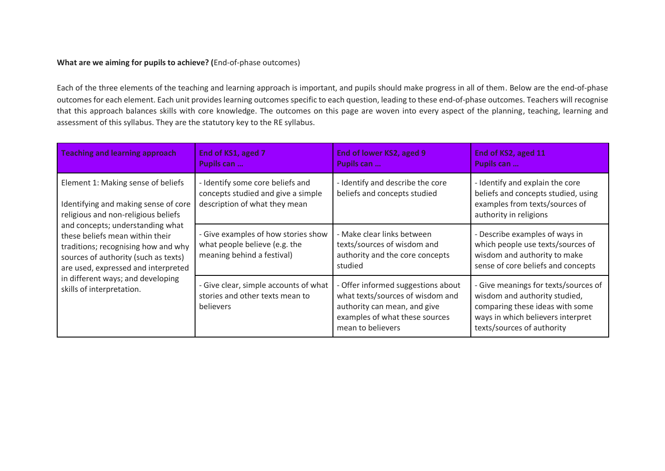## **What are we aiming for pupils to achieve? (**End-of-phase outcomes)

Each of the three elements of the teaching and learning approach is important, and pupils should make progress in all of them. Below are the end-of-phase outcomes for each element. Each unit provides learning outcomes specific to each question, leading to these end-of-phase outcomes. Teachers will recognise that this approach balances skills with core knowledge. The outcomes on this page are woven into every aspect of the planning, teaching, learning and assessment of this syllabus. They are the statutory key to the RE syllabus.

| <b>Teaching and learning approach</b>                                                                                                                                                     | End of KS1, aged 7<br>Pupils can                                                                        | End of lower KS2, aged 9<br>Pupils can                                                                                                                        | End of KS2, aged 11<br>Pupils can                                                                                                                                           |
|-------------------------------------------------------------------------------------------------------------------------------------------------------------------------------------------|---------------------------------------------------------------------------------------------------------|---------------------------------------------------------------------------------------------------------------------------------------------------------------|-----------------------------------------------------------------------------------------------------------------------------------------------------------------------------|
| Element 1: Making sense of beliefs<br>Identifying and making sense of core<br>religious and non-religious beliefs                                                                         | - Identify some core beliefs and<br>concepts studied and give a simple<br>description of what they mean | - Identify and describe the core<br>beliefs and concepts studied                                                                                              | - Identify and explain the core<br>beliefs and concepts studied, using<br>examples from texts/sources of<br>authority in religions                                          |
| and concepts; understanding what<br>these beliefs mean within their<br>traditions; recognising how and why<br>sources of authority (such as texts)<br>are used, expressed and interpreted | - Give examples of how stories show<br>what people believe (e.g. the<br>meaning behind a festival)      | - Make clear links between<br>texts/sources of wisdom and<br>authority and the core concepts<br>studied                                                       | - Describe examples of ways in<br>which people use texts/sources of<br>wisdom and authority to make<br>sense of core beliefs and concepts                                   |
| in different ways; and developing<br>skills of interpretation.                                                                                                                            | - Give clear, simple accounts of what<br>stories and other texts mean to<br>believers                   | - Offer informed suggestions about<br>what texts/sources of wisdom and<br>authority can mean, and give<br>examples of what these sources<br>mean to believers | - Give meanings for texts/sources of<br>wisdom and authority studied,<br>comparing these ideas with some<br>ways in which believers interpret<br>texts/sources of authority |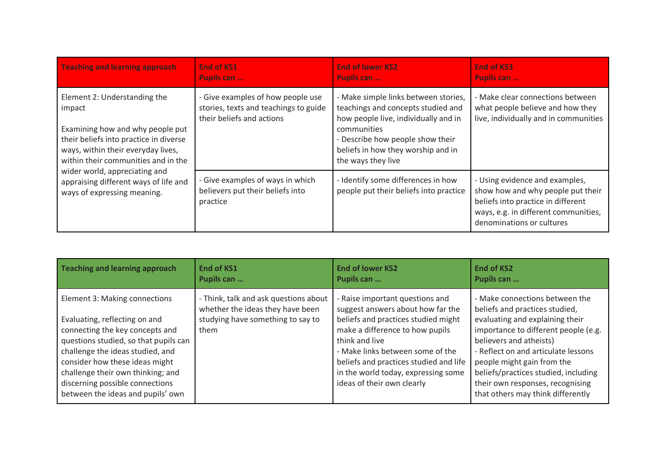| <b>Teaching and learning approach</b>                                                                                                                                                             | <b>End of KS1</b><br>Pupils can                                                                         | <b>End of lower KS2</b><br>Pupils can                                                                                                                                                                                             | <b>End of KS3</b><br>Pupils can                                                                                                                                                |
|---------------------------------------------------------------------------------------------------------------------------------------------------------------------------------------------------|---------------------------------------------------------------------------------------------------------|-----------------------------------------------------------------------------------------------------------------------------------------------------------------------------------------------------------------------------------|--------------------------------------------------------------------------------------------------------------------------------------------------------------------------------|
| Element 2: Understanding the<br>impact<br>Examining how and why people put<br>their beliefs into practice in diverse<br>ways, within their everyday lives,<br>within their communities and in the | - Give examples of how people use<br>stories, texts and teachings to guide<br>their beliefs and actions | - Make simple links between stories,<br>teachings and concepts studied and<br>how people live, individually and in<br>communities<br>- Describe how people show their<br>beliefs in how they worship and in<br>the ways they live | - Make clear connections between<br>what people believe and how they<br>live, individually and in communities                                                                  |
| wider world, appreciating and<br>appraising different ways of life and<br>ways of expressing meaning.                                                                                             | - Give examples of ways in which<br>believers put their beliefs into<br>practice                        | - Identify some differences in how<br>people put their beliefs into practice                                                                                                                                                      | - Using evidence and examples,<br>show how and why people put their<br>beliefs into practice in different<br>ways, e.g. in different communities,<br>denominations or cultures |

| Teaching and learning approach                                                                                                                                                                                                                                                                                                | <b>End of KS1</b>                                                                                                      | <b>End of lower KS2</b>                                                                                                                                                                                                                                                                                             | <b>End of KS2</b>                                                                                                                                                                                                                                                                                                                                            |
|-------------------------------------------------------------------------------------------------------------------------------------------------------------------------------------------------------------------------------------------------------------------------------------------------------------------------------|------------------------------------------------------------------------------------------------------------------------|---------------------------------------------------------------------------------------------------------------------------------------------------------------------------------------------------------------------------------------------------------------------------------------------------------------------|--------------------------------------------------------------------------------------------------------------------------------------------------------------------------------------------------------------------------------------------------------------------------------------------------------------------------------------------------------------|
|                                                                                                                                                                                                                                                                                                                               | Pupils can                                                                                                             | Pupils can                                                                                                                                                                                                                                                                                                          | Pupils can                                                                                                                                                                                                                                                                                                                                                   |
| Element 3: Making connections<br>Evaluating, reflecting on and<br>connecting the key concepts and<br>questions studied, so that pupils can<br>challenge the ideas studied, and<br>consider how these ideas might<br>challenge their own thinking; and<br>discerning possible connections<br>between the ideas and pupils' own | - Think, talk and ask questions about<br>whether the ideas they have been<br>studying have something to say to<br>them | - Raise important questions and<br>suggest answers about how far the<br>beliefs and practices studied might<br>make a difference to how pupils<br>think and live<br>- Make links between some of the<br>beliefs and practices studied and life<br>in the world today, expressing some<br>ideas of their own clearly | - Make connections between the<br>beliefs and practices studied,<br>evaluating and explaining their<br>importance to different people (e.g.<br>believers and atheists)<br>- Reflect on and articulate lessons<br>people might gain from the<br>beliefs/practices studied, including<br>their own responses, recognising<br>that others may think differently |